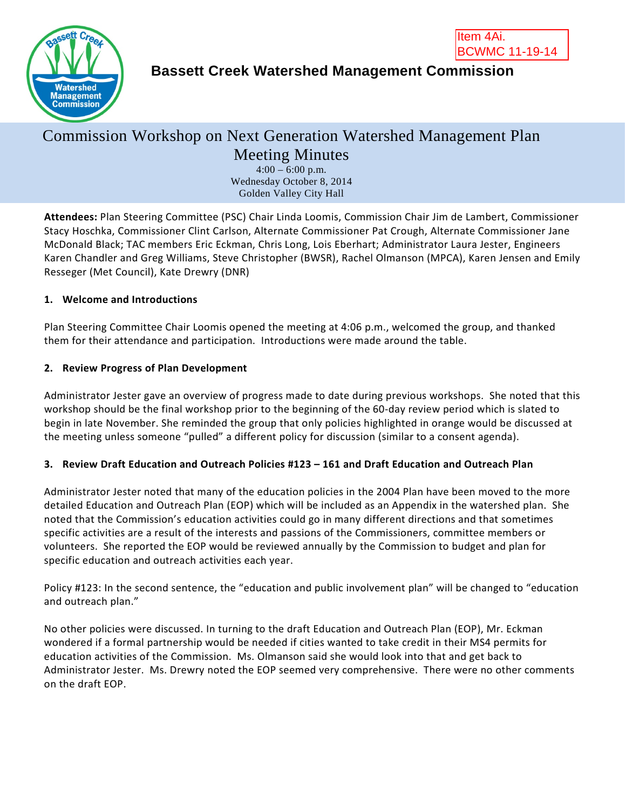



## **Bassett Creek Watershed Management Commission**

# Commission Workshop on Next Generation Watershed Management Plan Meeting Minutes

 $4:00 - 6:00$  p.m. Wednesday October 8, 2014 Golden Valley City Hall

**Attendees:** Plan Steering Committee (PSC) Chair Linda Loomis, Commission Chair Jim de Lambert, Commissioner Stacy Hoschka, Commissioner Clint Carlson, Alternate Commissioner Pat Crough, Alternate Commissioner Jane McDonald Black; TAC members Eric Eckman, Chris Long, Lois Eberhart; Administrator Laura Jester, Engineers Karen Chandler and Greg Williams, Steve Christopher (BWSR), Rachel Olmanson (MPCA), Karen Jensen and Emily Resseger (Met Council), Kate Drewry (DNR)

#### **1. Welcome and Introductions**

Plan Steering Committee Chair Loomis opened the meeting at 4:06 p.m., welcomed the group, and thanked them for their attendance and participation. Introductions were made around the table.

### **2. Review Progress of Plan Development**

Administrator Jester gave an overview of progress made to date during previous workshops. She noted that this workshop should be the final workshop prior to the beginning of the 60-day review period which is slated to begin in late November. She reminded the group that only policies highlighted in orange would be discussed at the meeting unless someone "pulled" a different policy for discussion (similar to a consent agenda).

#### **3. Review Draft Education and Outreach Policies #123 – 161 and Draft Education and Outreach Plan**

Administrator Jester noted that many of the education policies in the 2004 Plan have been moved to the more detailed Education and Outreach Plan (EOP) which will be included as an Appendix in the watershed plan. She noted that the Commission's education activities could go in many different directions and that sometimes specific activities are a result of the interests and passions of the Commissioners, committee members or volunteers. She reported the EOP would be reviewed annually by the Commission to budget and plan for specific education and outreach activities each year.

Policy #123: In the second sentence, the "education and public involvement plan" will be changed to "education and outreach plan."

No other policies were discussed. In turning to the draft Education and Outreach Plan (EOP), Mr. Eckman wondered if a formal partnership would be needed if cities wanted to take credit in their MS4 permits for education activities of the Commission. Ms. Olmanson said she would look into that and get back to Administrator Jester. Ms. Drewry noted the EOP seemed very comprehensive. There were no other comments on the draft EOP.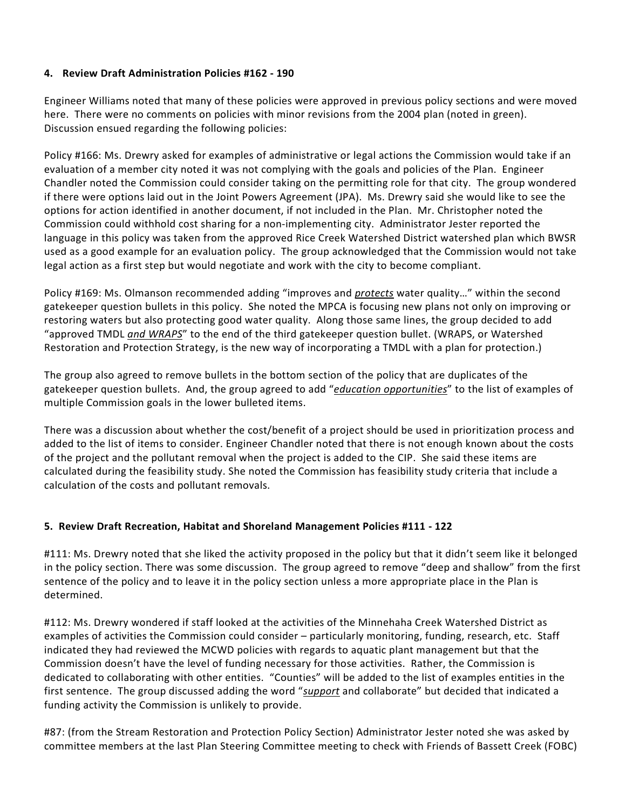#### **4. Review Draft Administration Policies #162 - 190**

Engineer Williams noted that many of these policies were approved in previous policy sections and were moved here. There were no comments on policies with minor revisions from the 2004 plan (noted in green). Discussion ensued regarding the following policies:

Policy #166: Ms. Drewry asked for examples of administrative or legal actions the Commission would take if an evaluation of a member city noted it was not complying with the goals and policies of the Plan. Engineer Chandler noted the Commission could consider taking on the permitting role for that city. The group wondered if there were options laid out in the Joint Powers Agreement (JPA). Ms. Drewry said she would like to see the options for action identified in another document, if not included in the Plan. Mr. Christopher noted the Commission could withhold cost sharing for a non-implementing city. Administrator Jester reported the language in this policy was taken from the approved Rice Creek Watershed District watershed plan which BWSR used as a good example for an evaluation policy. The group acknowledged that the Commission would not take legal action as a first step but would negotiate and work with the city to become compliant.

Policy #169: Ms. Olmanson recommended adding "improves and *protects* water quality…" within the second gatekeeper question bullets in this policy. She noted the MPCA is focusing new plans not only on improving or restoring waters but also protecting good water quality. Along those same lines, the group decided to add "approved TMDL *and WRAPS*" to the end of the third gatekeeper question bullet. (WRAPS, or Watershed Restoration and Protection Strategy, is the new way of incorporating a TMDL with a plan for protection.)

The group also agreed to remove bullets in the bottom section of the policy that are duplicates of the gatekeeper question bullets. And, the group agreed to add "*education opportunities*" to the list of examples of multiple Commission goals in the lower bulleted items.

There was a discussion about whether the cost/benefit of a project should be used in prioritization process and added to the list of items to consider. Engineer Chandler noted that there is not enough known about the costs of the project and the pollutant removal when the project is added to the CIP. She said these items are calculated during the feasibility study. She noted the Commission has feasibility study criteria that include a calculation of the costs and pollutant removals.

#### **5. Review Draft Recreation, Habitat and Shoreland Management Policies #111 - 122**

#111: Ms. Drewry noted that she liked the activity proposed in the policy but that it didn't seem like it belonged in the policy section. There was some discussion. The group agreed to remove "deep and shallow" from the first sentence of the policy and to leave it in the policy section unless a more appropriate place in the Plan is determined.

#112: Ms. Drewry wondered if staff looked at the activities of the Minnehaha Creek Watershed District as examples of activities the Commission could consider – particularly monitoring, funding, research, etc. Staff indicated they had reviewed the MCWD policies with regards to aquatic plant management but that the Commission doesn't have the level of funding necessary for those activities. Rather, the Commission is dedicated to collaborating with other entities. "Counties" will be added to the list of examples entities in the first sentence. The group discussed adding the word "*support* and collaborate" but decided that indicated a funding activity the Commission is unlikely to provide.

#87: (from the Stream Restoration and Protection Policy Section) Administrator Jester noted she was asked by committee members at the last Plan Steering Committee meeting to check with Friends of Bassett Creek (FOBC)